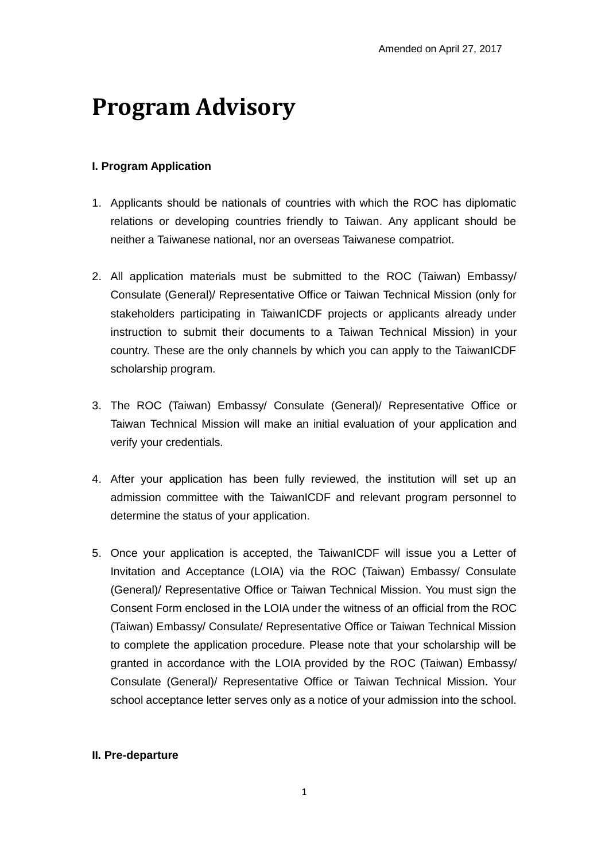## **Program Advisory**

## **I. Program Application**

- 1. Applicants should be nationals of countries with which the ROC has diplomatic relations or developing countries friendly to Taiwan. Any applicant should be neither a Taiwanese national, nor an overseas Taiwanese compatriot.
- 2. All application materials must be submitted to the ROC (Taiwan) Embassy/ Consulate (General)/ Representative Office or Taiwan Technical Mission (only for stakeholders participating in TaiwanICDF projects or applicants already under instruction to submit their documents to a Taiwan Technical Mission) in your country. These are the only channels by which you can apply to the TaiwanICDF scholarship program.
- 3. The ROC (Taiwan) Embassy/ Consulate (General)/ Representative Office or Taiwan Technical Mission will make an initial evaluation of your application and verify your credentials.
- 4. After your application has been fully reviewed, the institution will set up an admission committee with the TaiwanICDF and relevant program personnel to determine the status of your application.
- 5. Once your application is accepted, the TaiwanICDF will issue you a Letter of Invitation and Acceptance (LOIA) via the ROC (Taiwan) Embassy/ Consulate (General)/ Representative Office or Taiwan Technical Mission. You must sign the Consent Form enclosed in the LOIA under the witness of an official from the ROC (Taiwan) Embassy/ Consulate/ Representative Office or Taiwan Technical Mission to complete the application procedure. Please note that your scholarship will be granted in accordance with the LOIA provided by the ROC (Taiwan) Embassy/ Consulate (General)/ Representative Office or Taiwan Technical Mission. Your school acceptance letter serves only as a notice of your admission into the school.

## **II. Pre-departure**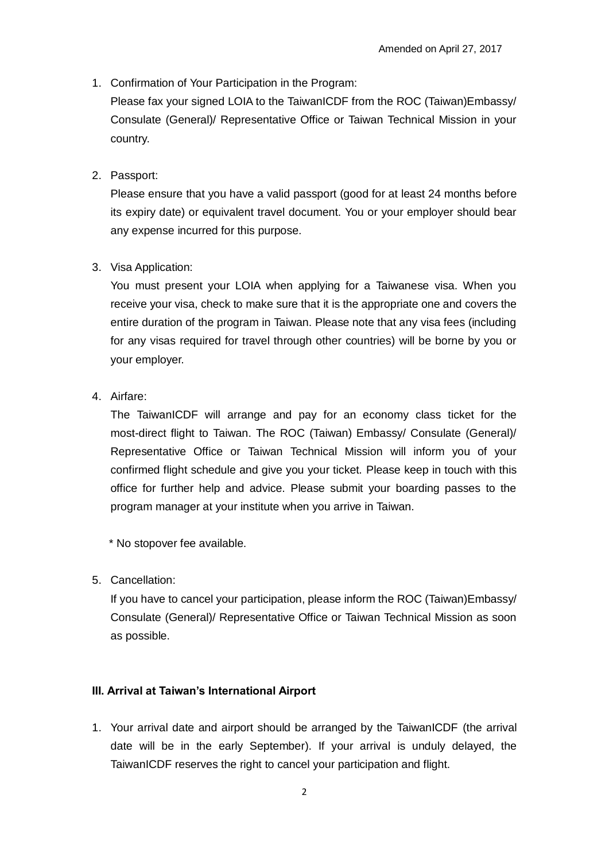1. Confirmation of Your Participation in the Program:

Please fax your signed LOIA to the TaiwanICDF from the ROC (Taiwan)Embassy/ Consulate (General)/ Representative Office or Taiwan Technical Mission in your country.

2. Passport:

Please ensure that you have a valid passport (good for at least 24 months before its expiry date) or equivalent travel document. You or your employer should bear any expense incurred for this purpose.

3. Visa Application:

You must present your LOIA when applying for a Taiwanese visa. When you receive your visa, check to make sure that it is the appropriate one and covers the entire duration of the program in Taiwan. Please note that any visa fees (including for any visas required for travel through other countries) will be borne by you or your employer.

4. Airfare:

The TaiwanICDF will arrange and pay for an economy class ticket for the most-direct flight to Taiwan. The ROC (Taiwan) Embassy/ Consulate (General)/ Representative Office or Taiwan Technical Mission will inform you of your confirmed flight schedule and give you your ticket. Please keep in touch with this office for further help and advice. Please submit your boarding passes to the program manager at your institute when you arrive in Taiwan.

\* No stopover fee available.

5. Cancellation:

If you have to cancel your participation, please inform the ROC (Taiwan)Embassy/ Consulate (General)/ Representative Office or Taiwan Technical Mission as soon as possible.

#### **III. Arrival at Taiwan's International Airport**

1. Your arrival date and airport should be arranged by the TaiwanICDF (the arrival date will be in the early September). If your arrival is unduly delayed, the TaiwanICDF reserves the right to cancel your participation and flight.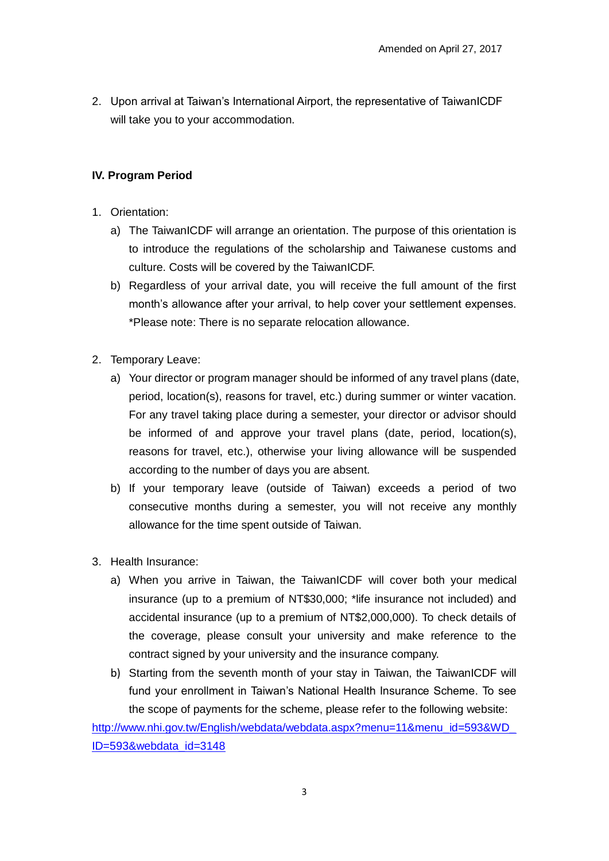2. Upon arrival at Taiwan's International Airport, the representative of TaiwanICDF will take you to your accommodation.

## **IV. Program Period**

- 1. Orientation:
	- a) The TaiwanICDF will arrange an orientation. The purpose of this orientation is to introduce the regulations of the scholarship and Taiwanese customs and culture. Costs will be covered by the TaiwanICDF.
	- b) Regardless of your arrival date, you will receive the full amount of the first month's allowance after your arrival, to help cover your settlement expenses. \*Please note: There is no separate relocation allowance.
- 2. Temporary Leave:
	- a) Your director or program manager should be informed of any travel plans (date, period, location(s), reasons for travel, etc.) during summer or winter vacation. For any travel taking place during a semester, your director or advisor should be informed of and approve your travel plans (date, period, location(s), reasons for travel, etc.), otherwise your living allowance will be suspended according to the number of days you are absent.
	- b) If your temporary leave (outside of Taiwan) exceeds a period of two consecutive months during a semester, you will not receive any monthly allowance for the time spent outside of Taiwan.
- 3. Health Insurance:
	- a) When you arrive in Taiwan, the TaiwanICDF will cover both your medical insurance (up to a premium of NT\$30,000; \*life insurance not included) and accidental insurance (up to a premium of NT\$2,000,000). To check details of the coverage, please consult your university and make reference to the contract signed by your university and the insurance company.
	- b) Starting from the seventh month of your stay in Taiwan, the TaiwanICDF will fund your enrollment in Taiwan's National Health Insurance Scheme. To see the scope of payments for the scheme, please refer to the following website:

[http://www.nhi.gov.tw/English/webdata/webdata.aspx?menu=11&menu\\_id=593&WD\\_](http://www.nhi.gov.tw/English/webdata/webdata.aspx?menu=11&menu_id=593&WD_ID=593&webdata_id=3148) [ID=593&webdata\\_id=3148](http://www.nhi.gov.tw/English/webdata/webdata.aspx?menu=11&menu_id=593&WD_ID=593&webdata_id=3148)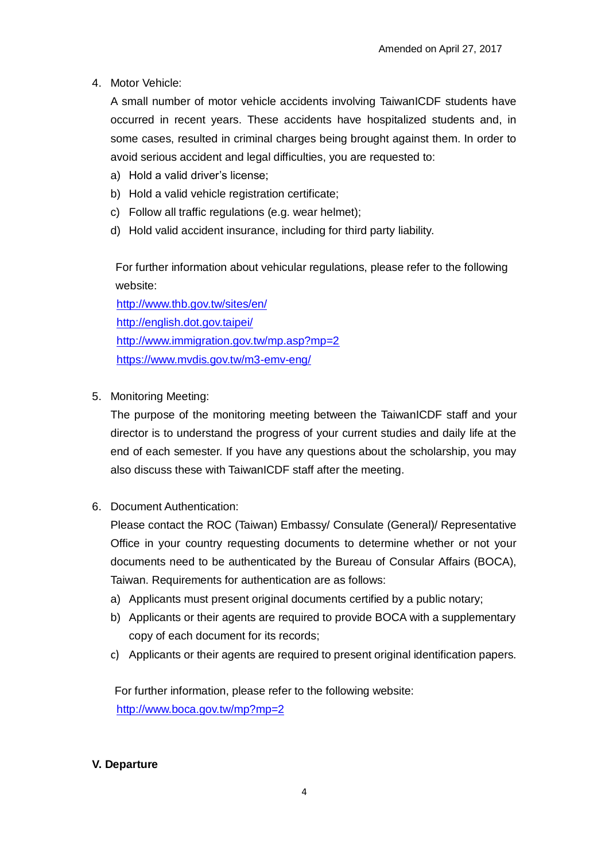4. Motor Vehicle:

A small number of motor vehicle accidents involving TaiwanICDF students have occurred in recent years. These accidents have hospitalized students and, in some cases, resulted in criminal charges being brought against them. In order to avoid serious accident and legal difficulties, you are requested to:

- a) Hold a valid driver's license;
- b) Hold a valid vehicle registration certificate;
- c) Follow all traffic regulations (e.g. wear helmet);
- d) Hold valid accident insurance, including for third party liability.

For further information about vehicular regulations, please refer to the following website:

<http://www.thb.gov.tw/sites/en/> <http://english.dot.gov.taipei/> <http://www.immigration.gov.tw/mp.asp?mp=2> <https://www.mvdis.gov.tw/m3-emv-eng/>

5. Monitoring Meeting:

The purpose of the monitoring meeting between the TaiwanICDF staff and your director is to understand the progress of your current studies and daily life at the end of each semester. If you have any questions about the scholarship, you may also discuss these with TaiwanICDF staff after the meeting.

6. Document Authentication:

Please contact the ROC (Taiwan) Embassy/ Consulate (General)/ Representative Office in your country requesting documents to determine whether or not your documents need to be authenticated by the Bureau of Consular Affairs (BOCA), Taiwan. Requirements for authentication are as follows:

- a) Applicants must present original documents certified by a public notary;
- b) Applicants or their agents are required to provide BOCA with a supplementary copy of each document for its records;
- c) Applicants or their agents are required to present original identification papers.

For further information, please refer to the following website: <http://www.boca.gov.tw/mp?mp=2>

## **V. Departure**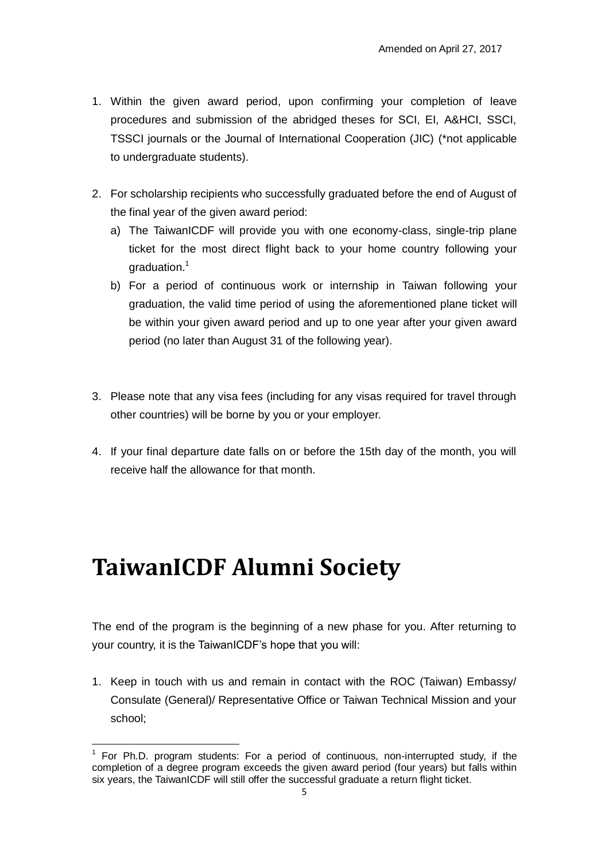- 1. Within the given award period, upon confirming your completion of leave procedures and submission of the abridged theses for SCI, EI, A&HCI, SSCI, TSSCI journals or the Journal of International Cooperation (JIC) (\*not applicable to undergraduate students).
- 2. For scholarship recipients who successfully graduated before the end of August of the final year of the given award period:
	- a) The TaiwanICDF will provide you with one economy-class, single-trip plane ticket for the most direct flight back to your home country following your graduation.<sup>1</sup>
	- b) For a period of continuous work or internship in Taiwan following your graduation, the valid time period of using the aforementioned plane ticket will be within your given award period and up to one year after your given award period (no later than August 31 of the following year).
- 3. Please note that any visa fees (including for any visas required for travel through other countries) will be borne by you or your employer.
- 4. If your final departure date falls on or before the 15th day of the month, you will receive half the allowance for that month.

# **TaiwanICDF Alumni Society**

The end of the program is the beginning of a new phase for you. After returning to your country, it is the TaiwanICDF's hope that you will:

1. Keep in touch with us and remain in contact with the ROC (Taiwan) Embassy/ Consulate (General)/ Representative Office or Taiwan Technical Mission and your school;

 $\overline{a}$  $1$  For Ph.D. program students: For a period of continuous, non-interrupted study, if the completion of a degree program exceeds the given award period (four years) but falls within six years, the TaiwanICDF will still offer the successful graduate a return flight ticket.